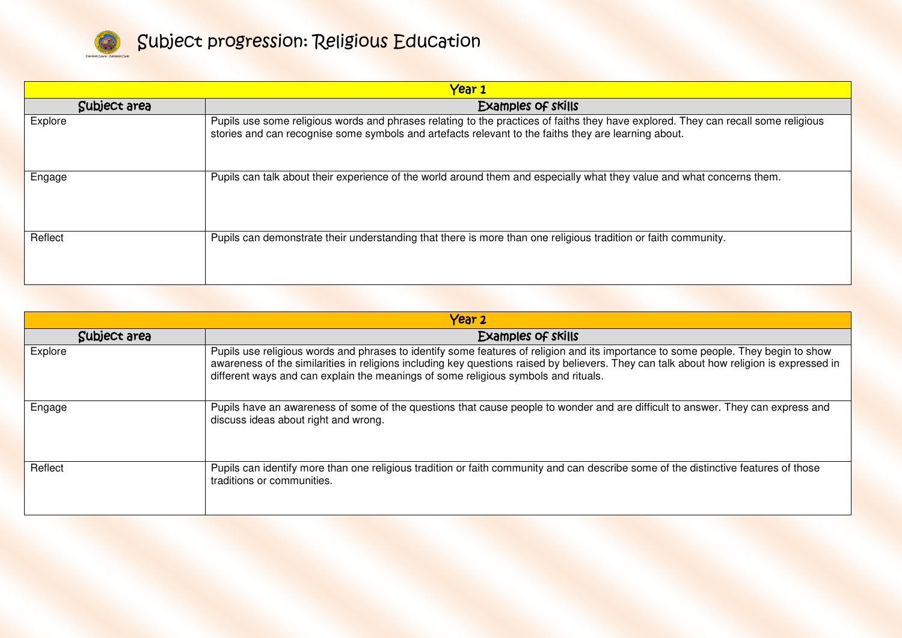

| Year 1       |                                                                                                                                                                                                                                            |
|--------------|--------------------------------------------------------------------------------------------------------------------------------------------------------------------------------------------------------------------------------------------|
| Subject area | Examples of skills                                                                                                                                                                                                                         |
| Explore      | Pupils use some religious words and phrases relating to the practices of faiths they have explored. They can recall some religious<br>stories and can recognise some symbols and artefacts relevant to the faiths they are learning about. |
| Engage       | Pupils can talk about their experience of the world around them and especially what they value and what concerns them.                                                                                                                     |
| Reflect      | Pupils can demonstrate their understanding that there is more than one religious tradition or faith community.                                                                                                                             |

| Year 2       |                                                                                                                                                                                                                                                                                                                                                                      |  |
|--------------|----------------------------------------------------------------------------------------------------------------------------------------------------------------------------------------------------------------------------------------------------------------------------------------------------------------------------------------------------------------------|--|
| Subject area | <b>Examples of skills</b>                                                                                                                                                                                                                                                                                                                                            |  |
| Explore      | Pupils use religious words and phrases to identify some features of religion and its importance to some people. They begin to show<br>awareness of the similarities in religions including key questions raised by believers. They can talk about how religion is expressed in<br>different ways and can explain the meanings of some religious symbols and rituals. |  |
| Engage       | Pupils have an awareness of some of the questions that cause people to wonder and are difficult to answer. They can express and<br>discuss ideas about right and wrong.                                                                                                                                                                                              |  |
| Reflect      | Pupils can identify more than one religious tradition or faith community and can describe some of the distinctive features of those<br>traditions or communities.                                                                                                                                                                                                    |  |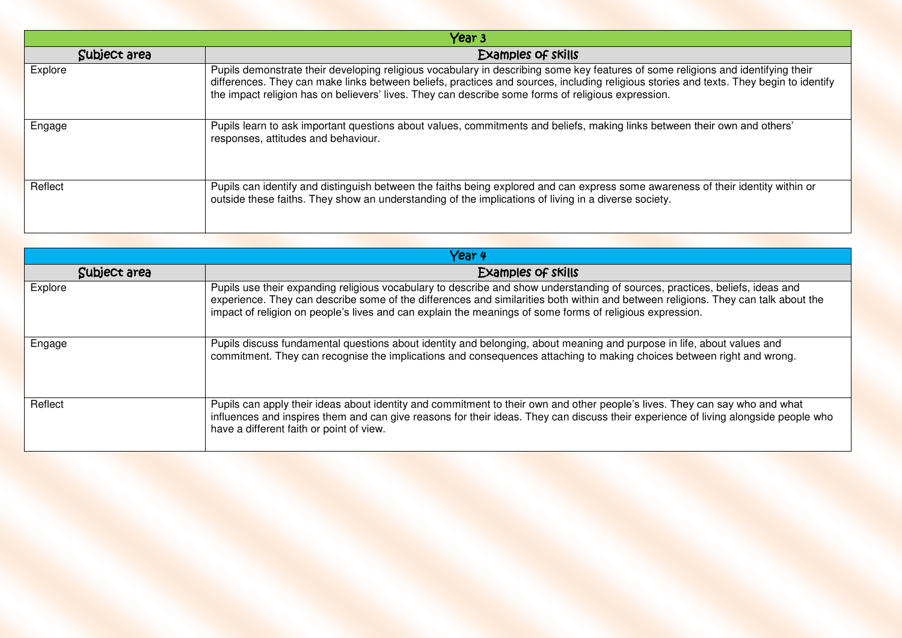| Year 3       |                                                                                                                                                                                                                                                                                                                                                                                  |
|--------------|----------------------------------------------------------------------------------------------------------------------------------------------------------------------------------------------------------------------------------------------------------------------------------------------------------------------------------------------------------------------------------|
| Subject area | Examples of skills                                                                                                                                                                                                                                                                                                                                                               |
| Explore      | Pupils demonstrate their developing religious vocabulary in describing some key features of some religions and identifying their<br>differences. They can make links between beliefs, practices and sources, including religious stories and texts. They begin to identify<br>the impact religion has on believers' lives. They can describe some forms of religious expression. |
| Engage       | Pupils learn to ask important questions about values, commitments and beliefs, making links between their own and others'<br>responses, attitudes and behaviour.                                                                                                                                                                                                                 |
| Reflect      | Pupils can identify and distinguish between the faiths being explored and can express some awareness of their identity within or<br>outside these faiths. They show an understanding of the implications of living in a diverse society.                                                                                                                                         |

| Year 4       |                                                                                                                                                                                                                                                                                                                                                                               |
|--------------|-------------------------------------------------------------------------------------------------------------------------------------------------------------------------------------------------------------------------------------------------------------------------------------------------------------------------------------------------------------------------------|
| Subject area | Examples of skills                                                                                                                                                                                                                                                                                                                                                            |
| Explore      | Pupils use their expanding religious vocabulary to describe and show understanding of sources, practices, beliefs, ideas and<br>experience. They can describe some of the differences and similarities both within and between religions. They can talk about the<br>impact of religion on people's lives and can explain the meanings of some forms of religious expression. |
| Engage       | Pupils discuss fundamental questions about identity and belonging, about meaning and purpose in life, about values and<br>commitment. They can recognise the implications and consequences attaching to making choices between right and wrong.                                                                                                                               |
| Reflect      | Pupils can apply their ideas about identity and commitment to their own and other people's lives. They can say who and what<br>influences and inspires them and can give reasons for their ideas. They can discuss their experience of living alongside people who<br>have a different faith or point of view.                                                                |